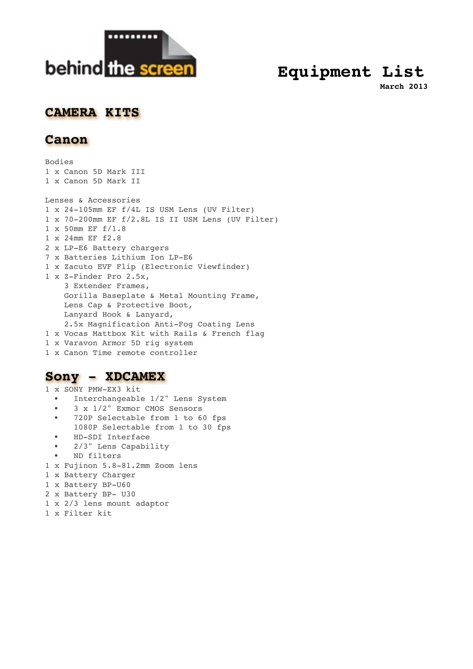

# **Equipment List**

**March 2013**

### **CAMERA KITS**

#### **Canon**

Bodies 1 x Canon 5D Mark III 1 x Canon 5D Mark II Lenses & Accessories 1 x 24-105mm EF f/4L IS USM Lens (UV Filter) 1 x 70-200mm EF f/2.8L IS II USM Lens (UV Filter) 1 x 50mm EF f/1.8 1 x 24mm EF f2.8 2 x LP-E6 Battery chargers 7 x Batteries Lithium Ion LP-E6 1 x Zacuto EVF Flip (Electronic Viewfinder) 1 x Z-Finder Pro 2.5x, 3 Extender Frames, Gorilla Baseplate & Metal Mounting Frame, Lens Cap & Protective Boot, Lanyard Hook & Lanyard, 2.5x Magnification Anti-Fog Coating Lens 1 x Vocas Mattbox Kit with Rails & French flag 1 x Varavon Armor 5D rig system 1 x Canon Time remote controller

### **Sony - XDCAMEX**

- 1 x SONY PMW-EX3 kit
	- Interchangeable 1/2" Lens System
	- 3 x 1/2" Exmor CMOS Sensors
	- 720P Selectable from 1 to 60 fps 1080P Selectable from 1 to 30 fps
	- HD-SDI Interface
	- 2/3" Lens Capability
	- ND filters
- 1 x Fujinon 5.8-81.2mm Zoom lens
- 1 x Battery Charger
- 1 x Battery BP-U60
- 2 x Battery BP- U30
- 1 x 2/3 lens mount adaptor
- 1 x Filter kit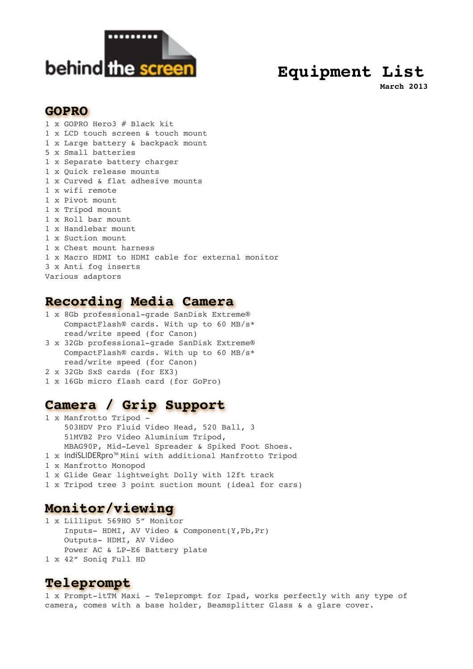

# **Equipment List**

**March 2013**

#### **GOPRO**

1 x GOPRO Hero3 # Black kit 1 x LCD touch screen & touch mount 1 x Large battery & backpack mount 5 x Small batteries 1 x Separate battery charger 1 x Quick release mounts 1 x Curved & flat adhesive mounts 1 x wifi remote 1 x Pivot mount 1 x Tripod mount 1 x Roll bar mount 1 x Handlebar mount 1 x Suction mount 1 x Chest mount harness 1 x Macro HDMI to HDMI cable for external monitor 3 x Anti fog inserts Various adaptors

## **Recording Media Camera**

- 1 x 8Gb professional-grade SanDisk Extreme® CompactFlash® cards. With up to 60 MB/s\* read/write speed (for Canon)
- 3 x 32Gb professional-grade SanDisk Extreme® CompactFlash® cards. With up to 60 MB/s\* read/write speed (for Canon)
- 2 x 32Gb SxS cards (for EX3)
- 1 x 16Gb micro flash card (for GoPro)

# **Camera / Grip Support**

- 1 x Manfrotto Tripod 503HDV Pro Fluid Video Head, 520 Ball, 3 51MVB2 Pro Video Aluminium Tripod, MBAG90P, Mid-Level Spreader & Spiked Foot Shoes.
- 1 x indiSLIDERpro™ Mini with additional Manfrotto Tripod
- 1 x Manfrotto Monopod
- 1 x Glide Gear lightweight Dolly with 12ft track
- 1 x Tripod tree 3 point suction mount (ideal for cars)

# **Monitor/viewing**

- 1 x Lilliput 569HO 5" Monitor Inputs- HDMI, AV Video & Component(Y,Pb,Pr) Outputs- HDMI, AV Video Power AC & LP-E6 Battery plate 1 x 42" Soniq Full HD
- 

### **Teleprompt**

1 x Prompt-itTM Maxi - Teleprompt for Ipad, works perfectly with any type of camera, comes with a base holder, Beamsplitter Glass & a glare cover.